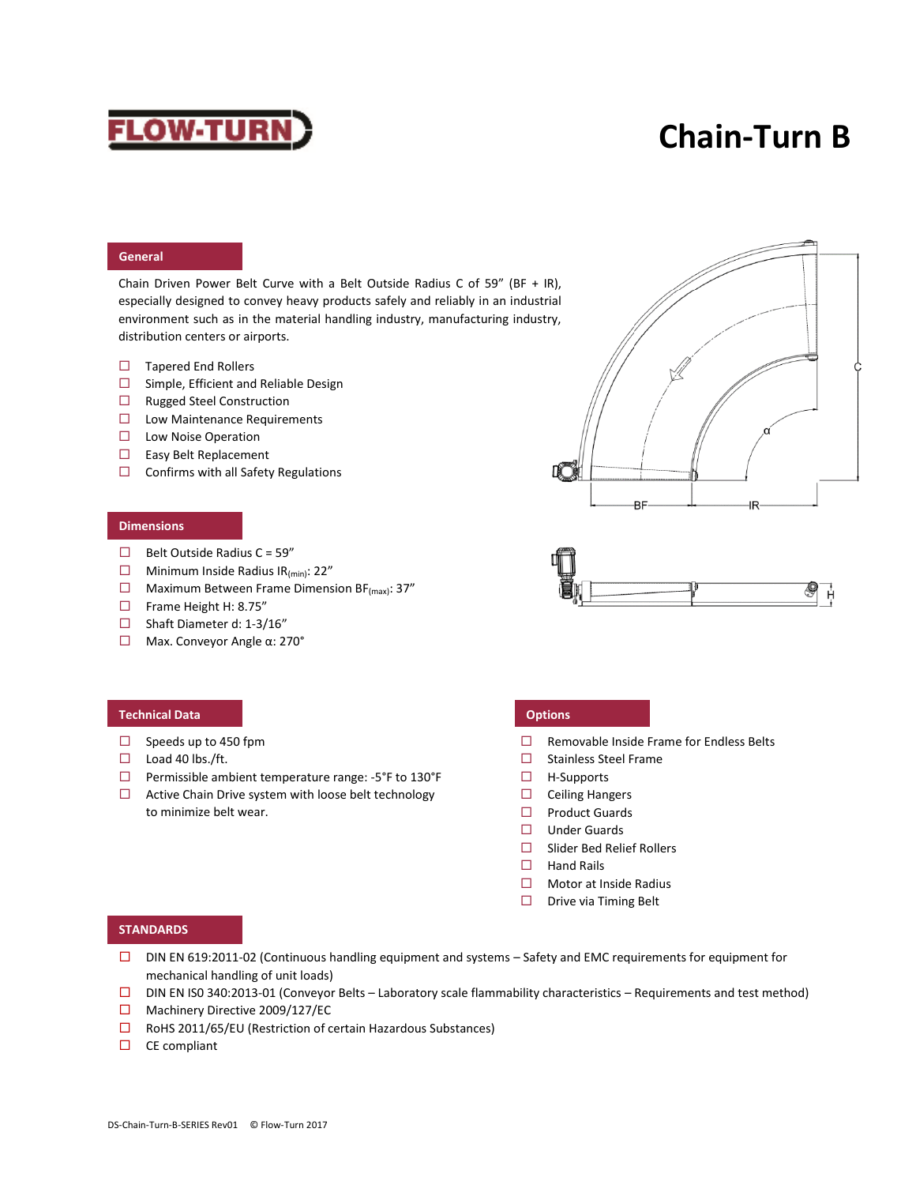# **FLOW-TURN**

# **Chain-Turn B**

### **General**

Chain Driven Power Belt Curve with a Belt Outside Radius C of 59" (BF + IR), especially designed to convey heavy products safely and reliably in an industrial environment such as in the material handling industry, manufacturing industry, distribution centers or airports.

- $\Box$  Tapered End Rollers
- $\square$  Simple, Efficient and Reliable Design
- □ Rugged Steel Construction
- □ Low Maintenance Requirements
- $\square$  Low Noise Operation
- □ Easy Belt Replacement
- $\Box$  Confirms with all Safety Regulations

### **Dimensions**

- $\Box$  Belt Outside Radius C = 59"
- $\Box$  Minimum Inside Radius IR<sub>(min)</sub>: 22"
- $\Box$  Maximum Between Frame Dimension BF<sub>(max)</sub>: 37"
- Frame Height H: 8.75"
- $\Box$  Shaft Diameter d: 1-3/16"
- Max. Conveyor Angle α: 270°

### **Technical Data Options**

- $\Box$  Speeds up to 450 fpm
- $\Box$  Load 40 lbs./ft.
- $\Box$  Permissible ambient temperature range: -5°F to 130°F
- $\Box$  Active Chain Drive system with loose belt technology to minimize belt wear.

- $\Box$  Removable Inside Frame for Endless Belts
- $\Box$  Stainless Steel Frame
- $\Box$  H-Supports
- $\Box$  Ceiling Hangers
- $\square$  Product Guards
- $\Box$  Under Guards
- Slider Bed Relief Rollers
- $\Box$  Hand Rails
- □ Motor at Inside Radius
- $\Box$  Drive via Timing Belt

## **STANDARDS**

- DIN EN 619:2011-02 (Continuous handling equipment and systems Safety and EMC requirements for equipment for mechanical handling of unit loads)
- $\square$  DIN EN ISO 340:2013-01 (Conveyor Belts Laboratory scale flammability characteristics Requirements and test method)
- □ Machinery Directive 2009/127/EC
- $\square$  RoHS 2011/65/EU (Restriction of certain Hazardous Substances)
- $\square$  CE compliant